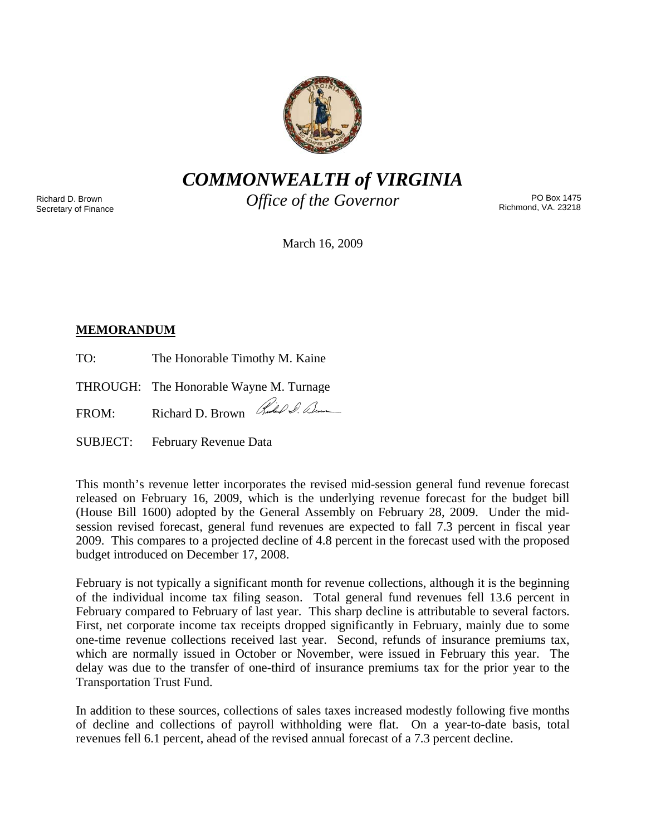

*COMMONWEALTH of VIRGINIA* 

Richard D. Brown Secretary of Finance *Office of the Governor* 

PO Box 1475 Richmond, VA. 23218

March 16, 2009

# **MEMORANDUM**

TO: The Honorable Timothy M. Kaine

THROUGH: The Honorable Wayne M. Turnage

FROM: Richard D. Brown Rue O. Dum

SUBJECT: February Revenue Data

This month's revenue letter incorporates the revised mid-session general fund revenue forecast released on February 16, 2009, which is the underlying revenue forecast for the budget bill (House Bill 1600) adopted by the General Assembly on February 28, 2009. Under the midsession revised forecast, general fund revenues are expected to fall 7.3 percent in fiscal year 2009. This compares to a projected decline of 4.8 percent in the forecast used with the proposed budget introduced on December 17, 2008.

February is not typically a significant month for revenue collections, although it is the beginning of the individual income tax filing season. Total general fund revenues fell 13.6 percent in February compared to February of last year. This sharp decline is attributable to several factors. First, net corporate income tax receipts dropped significantly in February, mainly due to some one-time revenue collections received last year. Second, refunds of insurance premiums tax, which are normally issued in October or November, were issued in February this year. The delay was due to the transfer of one-third of insurance premiums tax for the prior year to the Transportation Trust Fund.

In addition to these sources, collections of sales taxes increased modestly following five months of decline and collections of payroll withholding were flat. On a year-to-date basis, total revenues fell 6.1 percent, ahead of the revised annual forecast of a 7.3 percent decline.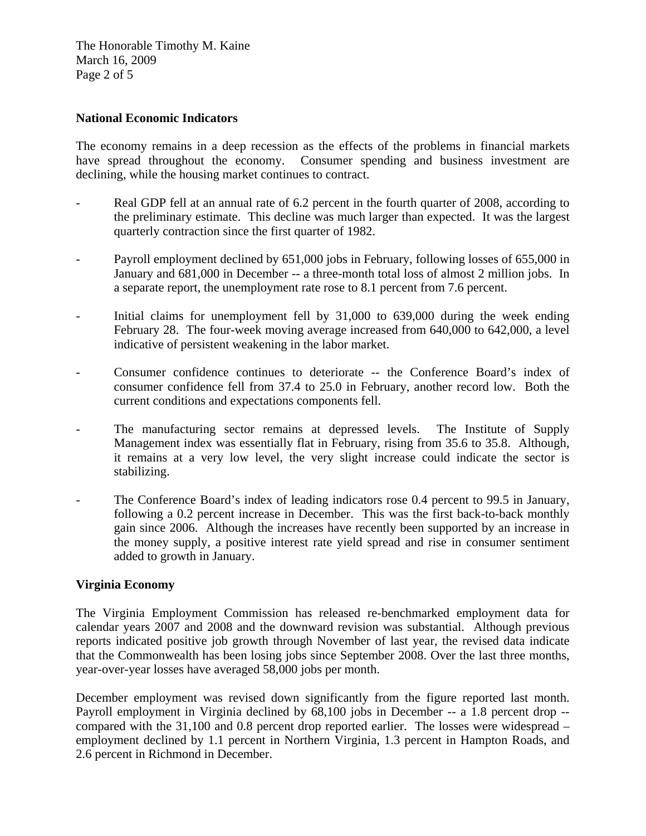The Honorable Timothy M. Kaine March 16, 2009 Page 2 of 5

## **National Economic Indicators**

The economy remains in a deep recession as the effects of the problems in financial markets have spread throughout the economy. Consumer spending and business investment are declining, while the housing market continues to contract.

- Real GDP fell at an annual rate of 6.2 percent in the fourth quarter of 2008, according to the preliminary estimate. This decline was much larger than expected. It was the largest quarterly contraction since the first quarter of 1982.
- Payroll employment declined by 651,000 jobs in February, following losses of 655,000 in January and 681,000 in December -- a three-month total loss of almost 2 million jobs. In a separate report, the unemployment rate rose to 8.1 percent from 7.6 percent.
- Initial claims for unemployment fell by 31,000 to 639,000 during the week ending February 28. The four-week moving average increased from 640,000 to 642,000, a level indicative of persistent weakening in the labor market.
- Consumer confidence continues to deteriorate -- the Conference Board's index of consumer confidence fell from 37.4 to 25.0 in February, another record low. Both the current conditions and expectations components fell.
- The manufacturing sector remains at depressed levels. The Institute of Supply Management index was essentially flat in February, rising from 35.6 to 35.8. Although, it remains at a very low level, the very slight increase could indicate the sector is stabilizing.
- The Conference Board's index of leading indicators rose 0.4 percent to 99.5 in January, following a 0.2 percent increase in December. This was the first back-to-back monthly gain since 2006. Although the increases have recently been supported by an increase in the money supply, a positive interest rate yield spread and rise in consumer sentiment added to growth in January.

#### **Virginia Economy**

The Virginia Employment Commission has released re-benchmarked employment data for calendar years 2007 and 2008 and the downward revision was substantial. Although previous reports indicated positive job growth through November of last year, the revised data indicate that the Commonwealth has been losing jobs since September 2008. Over the last three months, year-over-year losses have averaged 58,000 jobs per month.

December employment was revised down significantly from the figure reported last month. Payroll employment in Virginia declined by 68,100 jobs in December -- a 1.8 percent drop - compared with the 31,100 and 0.8 percent drop reported earlier. The losses were widespread – employment declined by 1.1 percent in Northern Virginia, 1.3 percent in Hampton Roads, and 2.6 percent in Richmond in December.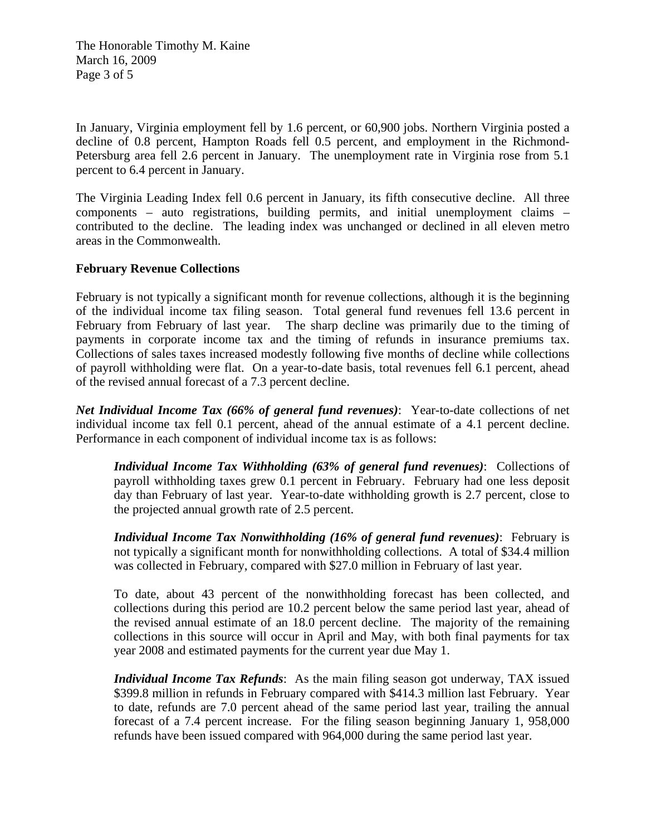The Honorable Timothy M. Kaine March 16, 2009 Page 3 of 5

In January, Virginia employment fell by 1.6 percent, or 60,900 jobs. Northern Virginia posted a decline of 0.8 percent, Hampton Roads fell 0.5 percent, and employment in the Richmond-Petersburg area fell 2.6 percent in January. The unemployment rate in Virginia rose from 5.1 percent to 6.4 percent in January.

The Virginia Leading Index fell 0.6 percent in January, its fifth consecutive decline. All three components – auto registrations, building permits, and initial unemployment claims – contributed to the decline. The leading index was unchanged or declined in all eleven metro areas in the Commonwealth.

### **February Revenue Collections**

February is not typically a significant month for revenue collections, although it is the beginning of the individual income tax filing season. Total general fund revenues fell 13.6 percent in February from February of last year. The sharp decline was primarily due to the timing of payments in corporate income tax and the timing of refunds in insurance premiums tax. Collections of sales taxes increased modestly following five months of decline while collections of payroll withholding were flat. On a year-to-date basis, total revenues fell 6.1 percent, ahead of the revised annual forecast of a 7.3 percent decline.

*Net Individual Income Tax (66% of general fund revenues)*: Year-to-date collections of net individual income tax fell 0.1 percent, ahead of the annual estimate of a 4.1 percent decline. Performance in each component of individual income tax is as follows:

*Individual Income Tax Withholding (63% of general fund revenues)*: Collections of payroll withholding taxes grew 0.1 percent in February. February had one less deposit day than February of last year. Year-to-date withholding growth is 2.7 percent, close to the projected annual growth rate of 2.5 percent.

*Individual Income Tax Nonwithholding (16% of general fund revenues)*: February is not typically a significant month for nonwithholding collections. A total of \$34.4 million was collected in February, compared with \$27.0 million in February of last year.

To date, about 43 percent of the nonwithholding forecast has been collected, and collections during this period are 10.2 percent below the same period last year, ahead of the revised annual estimate of an 18.0 percent decline. The majority of the remaining collections in this source will occur in April and May, with both final payments for tax year 2008 and estimated payments for the current year due May 1.

*Individual Income Tax Refunds*: As the main filing season got underway, TAX issued \$399.8 million in refunds in February compared with \$414.3 million last February. Year to date, refunds are 7.0 percent ahead of the same period last year, trailing the annual forecast of a 7.4 percent increase. For the filing season beginning January 1, 958,000 refunds have been issued compared with 964,000 during the same period last year.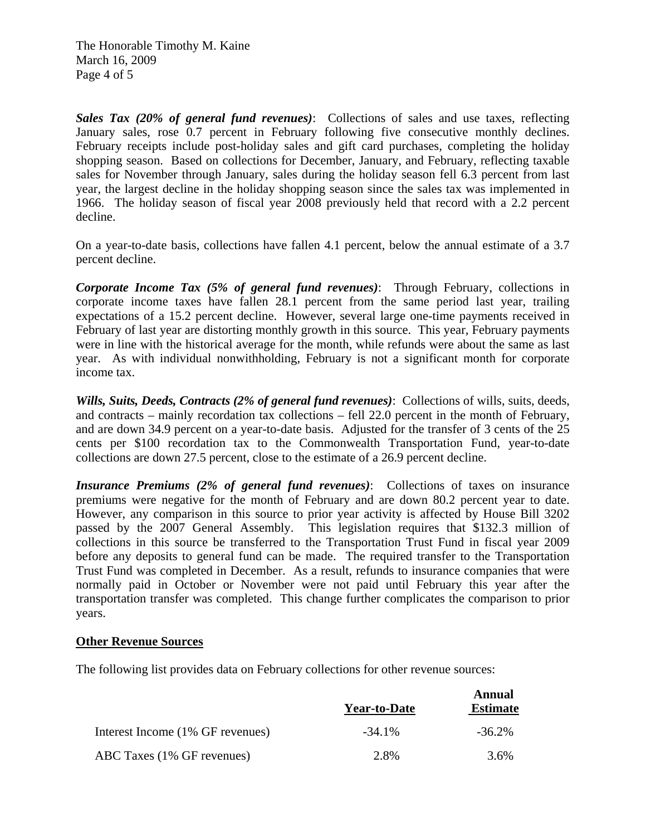The Honorable Timothy M. Kaine March 16, 2009 Page 4 of 5

*Sales Tax (20% of general fund revenues)*: Collections of sales and use taxes, reflecting January sales, rose 0.7 percent in February following five consecutive monthly declines. February receipts include post-holiday sales and gift card purchases, completing the holiday shopping season. Based on collections for December, January, and February, reflecting taxable sales for November through January, sales during the holiday season fell 6.3 percent from last year, the largest decline in the holiday shopping season since the sales tax was implemented in 1966. The holiday season of fiscal year 2008 previously held that record with a 2.2 percent decline.

On a year-to-date basis, collections have fallen 4.1 percent, below the annual estimate of a 3.7 percent decline.

*Corporate Income Tax (5% of general fund revenues)*: Through February, collections in corporate income taxes have fallen 28.1 percent from the same period last year, trailing expectations of a 15.2 percent decline. However, several large one-time payments received in February of last year are distorting monthly growth in this source. This year, February payments were in line with the historical average for the month, while refunds were about the same as last year. As with individual nonwithholding, February is not a significant month for corporate income tax.

*Wills, Suits, Deeds, Contracts (2% of general fund revenues)*: Collections of wills, suits, deeds, and contracts – mainly recordation tax collections – fell 22.0 percent in the month of February, and are down 34.9 percent on a year-to-date basis. Adjusted for the transfer of 3 cents of the 25 cents per \$100 recordation tax to the Commonwealth Transportation Fund, year-to-date collections are down 27.5 percent, close to the estimate of a 26.9 percent decline.

*Insurance Premiums (2% of general fund revenues)*: Collections of taxes on insurance premiums were negative for the month of February and are down 80.2 percent year to date. However, any comparison in this source to prior year activity is affected by House Bill 3202 passed by the 2007 General Assembly. This legislation requires that \$132.3 million of collections in this source be transferred to the Transportation Trust Fund in fiscal year 2009 before any deposits to general fund can be made. The required transfer to the Transportation Trust Fund was completed in December. As a result, refunds to insurance companies that were normally paid in October or November were not paid until February this year after the transportation transfer was completed. This change further complicates the comparison to prior years.

#### **Other Revenue Sources**

The following list provides data on February collections for other revenue sources:

|                                  | <b>Year-to-Date</b> | Annual<br><b>Estimate</b> |
|----------------------------------|---------------------|---------------------------|
| Interest Income (1% GF revenues) | $-34.1\%$           | $-36.2\%$                 |
| ABC Taxes (1% GF revenues)       | 2.8%                | 3.6%                      |